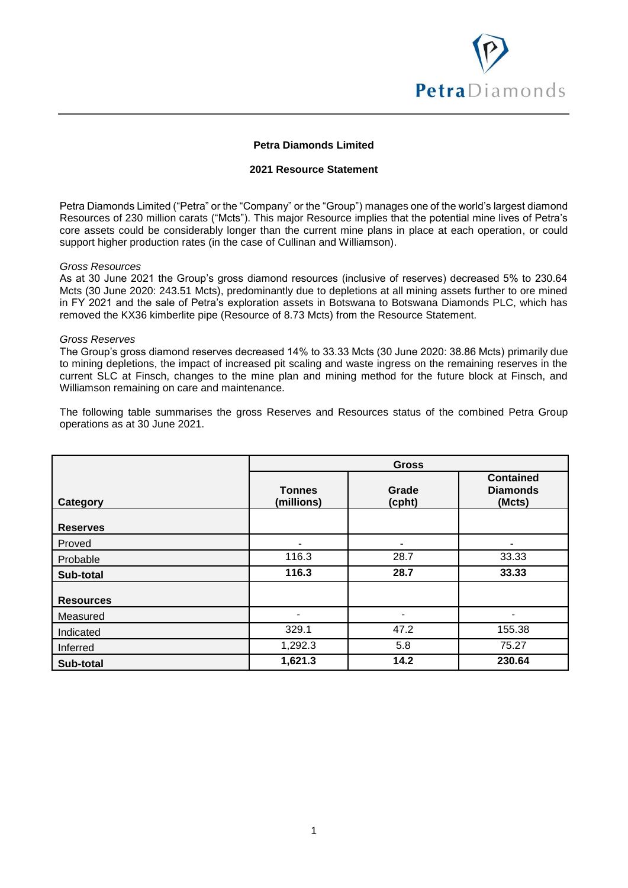

## **Petra Diamonds Limited**

## **2021 Resource Statement**

Petra Diamonds Limited ("Petra" or the "Company" or the "Group") manages one of the world's largest diamond Resources of 230 million carats ("Mcts"). This major Resource implies that the potential mine lives of Petra's core assets could be considerably longer than the current mine plans in place at each operation, or could support higher production rates (in the case of Cullinan and Williamson).

#### *Gross Resources*

As at 30 June 2021 the Group's gross diamond resources (inclusive of reserves) decreased 5% to 230.64 Mcts (30 June 2020: 243.51 Mcts), predominantly due to depletions at all mining assets further to ore mined in FY 2021 and the sale of Petra's exploration assets in Botswana to Botswana Diamonds PLC, which has removed the KX36 kimberlite pipe (Resource of 8.73 Mcts) from the Resource Statement.

#### *Gross Reserves*

The Group's gross diamond reserves decreased 14% to 33.33 Mcts (30 June 2020: 38.86 Mcts) primarily due to mining depletions, the impact of increased pit scaling and waste ingress on the remaining reserves in the current SLC at Finsch, changes to the mine plan and mining method for the future block at Finsch, and Williamson remaining on care and maintenance.

The following table summarises the gross Reserves and Resources status of the combined Petra Group operations as at 30 June 2021.

|                  |                             | <b>Gross</b>    |                                               |
|------------------|-----------------------------|-----------------|-----------------------------------------------|
| Category         | <b>Tonnes</b><br>(millions) | Grade<br>(cpht) | <b>Contained</b><br><b>Diamonds</b><br>(Mcts) |
| <b>Reserves</b>  |                             |                 |                                               |
| Proved           |                             | ۰               | ۰                                             |
| Probable         | 116.3                       | 28.7            | 33.33                                         |
| Sub-total        | 116.3                       | 28.7            | 33.33                                         |
| <b>Resources</b> |                             |                 |                                               |
| Measured         |                             |                 |                                               |
| Indicated        | 329.1                       | 47.2            | 155.38                                        |
| Inferred         | 1,292.3                     | 5.8             | 75.27                                         |
| Sub-total        | 1,621.3                     | 14.2            | 230.64                                        |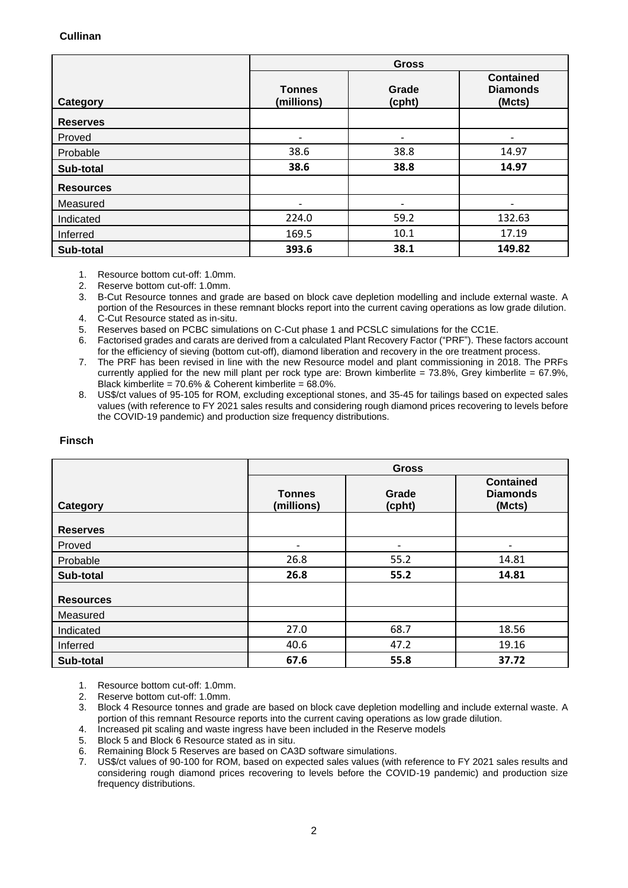## **Cullinan**

|                  | <b>Gross</b>                |                 |                                               |
|------------------|-----------------------------|-----------------|-----------------------------------------------|
| Category         | <b>Tonnes</b><br>(millions) | Grade<br>(cpht) | <b>Contained</b><br><b>Diamonds</b><br>(Mcts) |
| <b>Reserves</b>  |                             |                 |                                               |
| Proved           |                             |                 | ۰                                             |
| Probable         | 38.6                        | 38.8            | 14.97                                         |
| Sub-total        | 38.6                        | 38.8            | 14.97                                         |
| <b>Resources</b> |                             |                 |                                               |
| Measured         |                             |                 |                                               |
| Indicated        | 224.0                       | 59.2            | 132.63                                        |
| Inferred         | 169.5                       | 10.1            | 17.19                                         |
| Sub-total        | 393.6                       | 38.1            | 149.82                                        |

1. Resource bottom cut-off: 1.0mm.

2. Reserve bottom cut-off: 1.0mm.<br>3. B-Cut Resource tonnes and gra

3. B-Cut Resource tonnes and grade are based on block cave depletion modelling and include external waste. A portion of the Resources in these remnant blocks report into the current caving operations as low grade dilution.

4. C-Cut Resource stated as in-situ.

5. Reserves based on PCBC simulations on C-Cut phase 1 and PCSLC simulations for the CC1E.

6. Factorised grades and carats are derived from a calculated Plant Recovery Factor ("PRF"). These factors account for the efficiency of sieving (bottom cut-off), diamond liberation and recovery in the ore treatment process.

7. The PRF has been revised in line with the new Resource model and plant commissioning in 2018. The PRFs currently applied for the new mill plant per rock type are: Brown kimberlite =  $73.8\%$ , Grey kimberlite =  $67.9\%$ . Black kimberlite = 70.6% & Coherent kimberlite = 68.0%.

8. US\$/ct values of 95-105 for ROM, excluding exceptional stones, and 35-45 for tailings based on expected sales values (with reference to FY 2021 sales results and considering rough diamond prices recovering to levels before the COVID-19 pandemic) and production size frequency distributions.

|                  | <b>Gross</b>                |                 |                                               |
|------------------|-----------------------------|-----------------|-----------------------------------------------|
| Category         | <b>Tonnes</b><br>(millions) | Grade<br>(cpht) | <b>Contained</b><br><b>Diamonds</b><br>(Mcts) |
| <b>Reserves</b>  |                             |                 |                                               |
| Proved           | ۰                           | ٠               | ٠                                             |
| Probable         | 26.8                        | 55.2            | 14.81                                         |
| Sub-total        | 26.8                        | 55.2            | 14.81                                         |
| <b>Resources</b> |                             |                 |                                               |
| Measured         |                             |                 |                                               |
| Indicated        | 27.0                        | 68.7            | 18.56                                         |
| Inferred         | 40.6                        | 47.2            | 19.16                                         |
| Sub-total        | 67.6                        | 55.8            | 37.72                                         |

# **Finsch**

1. Resource bottom cut-off: 1.0mm.

2. Reserve bottom cut-off: 1.0mm.

3. Block 4 Resource tonnes and grade are based on block cave depletion modelling and include external waste. A portion of this remnant Resource reports into the current caving operations as low grade dilution.

4. Increased pit scaling and waste ingress have been included in the Reserve models

5. Block 5 and Block 6 Resource stated as in situ.

6. Remaining Block 5 Reserves are based on CA3D software simulations.

7. US\$/ct values of 90-100 for ROM, based on expected sales values (with reference to FY 2021 sales results and considering rough diamond prices recovering to levels before the COVID-19 pandemic) and production size frequency distributions.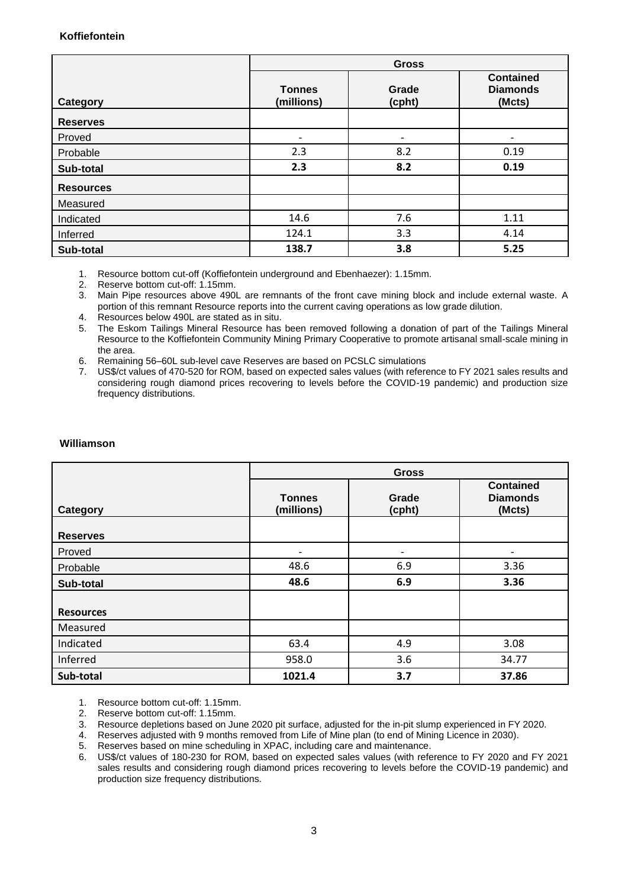## **Koffiefontein**

|                  | <b>Gross</b>                |                 |                                               |
|------------------|-----------------------------|-----------------|-----------------------------------------------|
| Category         | <b>Tonnes</b><br>(millions) | Grade<br>(cpht) | <b>Contained</b><br><b>Diamonds</b><br>(Mcts) |
| <b>Reserves</b>  |                             |                 |                                               |
| Proved           |                             |                 |                                               |
| Probable         | 2.3                         | 8.2             | 0.19                                          |
| Sub-total        | 2.3                         | 8.2             | 0.19                                          |
| <b>Resources</b> |                             |                 |                                               |
| Measured         |                             |                 |                                               |
| Indicated        | 14.6                        | 7.6             | 1.11                                          |
| Inferred         | 124.1                       | 3.3             | 4.14                                          |
| Sub-total        | 138.7                       | 3.8             | 5.25                                          |

1. Resource bottom cut-off (Koffiefontein underground and Ebenhaezer): 1.15mm.

2. Reserve bottom cut-off: 1.15mm.

3. Main Pipe resources above 490L are remnants of the front cave mining block and include external waste. A portion of this remnant Resource reports into the current caving operations as low grade dilution.

4. Resources below 490L are stated as in situ.

5. The Eskom Tailings Mineral Resource has been removed following a donation of part of the Tailings Mineral Resource to the Koffiefontein Community Mining Primary Cooperative to promote artisanal small-scale mining in the area.

- 6. Remaining 56–60L sub-level cave Reserves are based on PCSLC simulations
- 7. US\$/ct values of 470-520 for ROM, based on expected sales values (with reference to FY 2021 sales results and considering rough diamond prices recovering to levels before the COVID-19 pandemic) and production size frequency distributions.

|                  | <b>Gross</b>                |                 |                                               |
|------------------|-----------------------------|-----------------|-----------------------------------------------|
| Category         | <b>Tonnes</b><br>(millions) | Grade<br>(cpht) | <b>Contained</b><br><b>Diamonds</b><br>(Mcts) |
| <b>Reserves</b>  |                             |                 |                                               |
| Proved           | ٠                           | ۰               |                                               |
| Probable         | 48.6                        | 6.9             | 3.36                                          |
| Sub-total        | 48.6                        | 6.9             | 3.36                                          |
|                  |                             |                 |                                               |
| <b>Resources</b> |                             |                 |                                               |
| Measured         |                             |                 |                                               |
| Indicated        | 63.4                        | 4.9             | 3.08                                          |
| Inferred         | 958.0                       | 3.6             | 34.77                                         |
| Sub-total        | 1021.4                      | 3.7             | 37.86                                         |

## **Williamson**

1. Resource bottom cut-off: 1.15mm.

2. Reserve bottom cut-off: 1.15mm.

3. Resource depletions based on June 2020 pit surface, adjusted for the in-pit slump experienced in FY 2020.

4. Reserves adjusted with 9 months removed from Life of Mine plan (to end of Mining Licence in 2030).<br>5. Reserves based on mine scheduling in XPAC, including care and maintenance.<br>6. US\$/ct values of 180-230 for ROM, based

5. Reserves based on mine scheduling in XPAC, including care and maintenance.

US\$/ct values of 180-230 for ROM, based on expected sales values (with reference to FY 2020 and FY 2021 sales results and considering rough diamond prices recovering to levels before the COVID-19 pandemic) and production size frequency distributions.